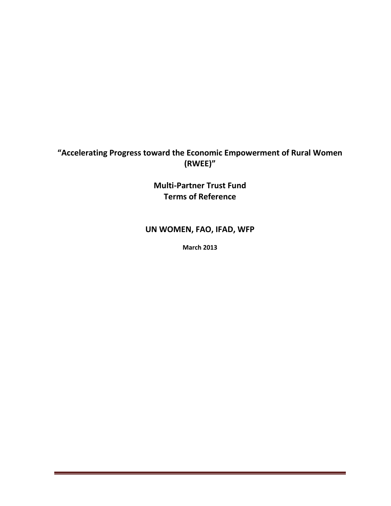# **"Accelerating Progress toward the Economic Empowerment of Rural Women (RWEE)"**

**Multi-Partner Trust Fund Terms of Reference**

## **UN WOMEN, FAO, IFAD, WFP**

**March 2013**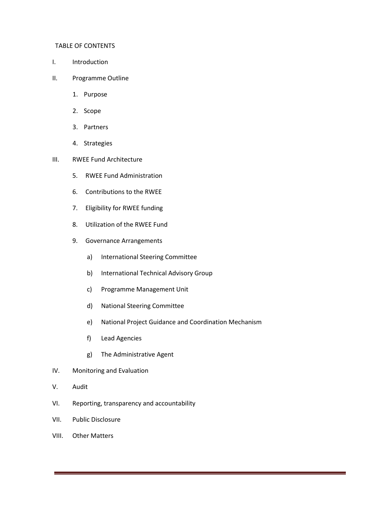#### TABLE OF CONTENTS

- I. Introduction
- II. Programme Outline
	- 1. Purpose
	- 2. Scope
	- 3. Partners
	- 4. Strategies
- III. RWEE Fund Architecture
	- 5. RWEE Fund Administration
	- 6. Contributions to the RWEE
	- 7. Eligibility for RWEE funding
	- 8. Utilization of the RWEE Fund
	- 9. Governance Arrangements
		- a) International Steering Committee
		- b) International Technical Advisory Group
		- c) Programme Management Unit
		- d) National Steering Committee
		- e) National Project Guidance and Coordination Mechanism
		- f) Lead Agencies
		- g) The Administrative Agent
- IV. Monitoring and Evaluation
- V. Audit
- VI. Reporting, transparency and accountability
- VII. Public Disclosure
- VIII. Other Matters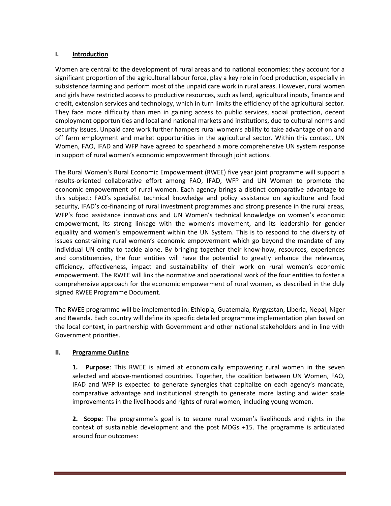#### **I. Introduction**

Women are central to the development of rural areas and to national economies: they account for a significant proportion of the agricultural labour force, play a key role in food production, especially in subsistence farming and perform most of the unpaid care work in rural areas. However, rural women and girls have restricted access to productive resources, such as land, agricultural inputs, finance and credit, extension services and technology, which in turn limits the efficiency of the agricultural sector. They face more difficulty than men in gaining access to public services, social protection, decent employment opportunities and local and national markets and institutions, due to cultural norms and security issues. Unpaid care work further hampers rural women's ability to take advantage of on and off farm employment and market opportunities in the agricultural sector. Within this context, UN Women, FAO, IFAD and WFP have agreed to spearhead a more comprehensive UN system response in support of rural women's economic empowerment through joint actions.

The Rural Women's Rural Economic Empowerment (RWEE) five year joint programme will support a results-oriented collaborative effort among FAO, IFAD, WFP and UN Women to promote the economic empowerment of rural women. Each agency brings a distinct comparative advantage to this subject: FAO's specialist technical knowledge and policy assistance on agriculture and food security, IFAD's co-financing of rural investment programmes and strong presence in the rural areas, WFP's food assistance innovations and UN Women's technical knowledge on women's economic empowerment, its strong linkage with the women's movement, and its leadership for gender equality and women's empowerment within the UN System. This is to respond to the diversity of issues constraining rural women's economic empowerment which go beyond the mandate of any individual UN entity to tackle alone. By bringing together their know-how, resources, experiences and constituencies, the four entities will have the potential to greatly enhance the relevance, efficiency, effectiveness, impact and sustainability of their work on rural women's economic empowerment. The RWEE will link the normative and operational work of the four entities to foster a comprehensive approach for the economic empowerment of rural women, as described in the duly signed RWEE Programme Document.

The RWEE programme will be implemented in: Ethiopia, Guatemala, Kyrgyzstan, Liberia, Nepal, Niger and Rwanda. Each country will define its specific detailed programme implementation plan based on the local context, in partnership with Government and other national stakeholders and in line with Government priorities.

## **II. Programme Outline**

**1. Purpose**: This RWEE is aimed at economically empowering rural women in the seven selected and above-mentioned countries. Together, the coalition between UN Women, FAO, IFAD and WFP is expected to generate synergies that capitalize on each agency's mandate, comparative advantage and institutional strength to generate more lasting and wider scale improvements in the livelihoods and rights of rural women, including young women.

**2. Scope**: The programme's goal is to secure rural women's livelihoods and rights in the context of sustainable development and the post MDGs +15. The programme is articulated around four outcomes: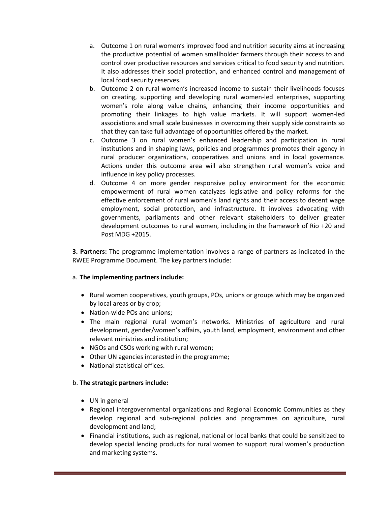- a. Outcome 1 on rural women's improved food and nutrition security aims at increasing the productive potential of women smallholder farmers through their access to and control over productive resources and services critical to food security and nutrition. It also addresses their social protection, and enhanced control and management of local food security reserves.
- b. Outcome 2 on rural women's increased income to sustain their livelihoods focuses on creating, supporting and developing rural women-led enterprises, supporting women's role along value chains, enhancing their income opportunities and promoting their linkages to high value markets. It will support women-led associations and small scale businesses in overcoming their supply side constraints so that they can take full advantage of opportunities offered by the market.
- c. Outcome 3 on rural women's enhanced leadership and participation in rural institutions and in shaping laws, policies and programmes promotes their agency in rural producer organizations, cooperatives and unions and in local governance. Actions under this outcome area will also strengthen rural women's voice and influence in key policy processes.
- d. Outcome 4 on more gender responsive policy environment for the economic empowerment of rural women catalyzes legislative and policy reforms for the effective enforcement of rural women's land rights and their access to decent wage employment, social protection, and infrastructure. It involves advocating with governments, parliaments and other relevant stakeholders to deliver greater development outcomes to rural women, including in the framework of Rio +20 and Post MDG +2015.

**3. Partners:** The programme implementation involves a range of partners as indicated in the RWEE Programme Document. The key partners include:

#### a. **The implementing partners include:**

- Rural women cooperatives, youth groups, POs, unions or groups which may be organized by local areas or by crop;
- Nation-wide POs and unions:
- The main regional rural women's networks. Ministries of agriculture and rural development, gender/women's affairs, youth land, employment, environment and other relevant ministries and institution;
- NGOs and CSOs working with rural women;
- Other UN agencies interested in the programme;
- National statistical offices.

## b. **The strategic partners include:**

- UN in general
- Regional intergovernmental organizations and Regional Economic Communities as they develop regional and sub-regional policies and programmes on agriculture, rural development and land;
- Financial institutions, such as regional, national or local banks that could be sensitized to develop special lending products for rural women to support rural women's production and marketing systems.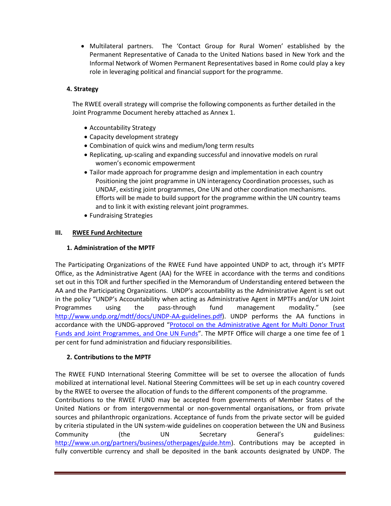Multilateral partners. The 'Contact Group for Rural Women' established by the Permanent Representative of Canada to the United Nations based in New York and the Informal Network of Women Permanent Representatives based in Rome could play a key role in leveraging political and financial support for the programme.

## **4. Strategy**

The RWEE overall strategy will comprise the following components as further detailed in the Joint Programme Document hereby attached as Annex 1.

- Accountability Strategy
- Capacity development strategy
- Combination of quick wins and medium/long term results
- Replicating, up-scaling and expanding successful and innovative models on rural women's economic empowerment
- Tailor made approach for programme design and implementation in each country Positioning the joint programme in UN interagency Coordination processes, such as UNDAF, existing joint programmes, One UN and other coordination mechanisms. Efforts will be made to build support for the programme within the UN country teams and to link it with existing relevant joint programmes.
- Fundraising Strategies

### **III. RWEE Fund Architecture**

## **1. Administration of the MPTF**

The Participating Organizations of the RWEE Fund have appointed UNDP to act, through it's MPTF Office, as the Administrative Agent (AA) for the WFEE in accordance with the terms and conditions set out in this TOR and further specified in the Memorandum of Understanding entered between the AA and the Participating Organizations. UNDP's accountability as the Administrative Agent is set out in the policy "UNDP's Accountability when acting as Administrative Agent in MPTFs and/or UN Joint Programmes using the pass-through fund management modality." (see [http://www.undp.org/mdtf/docs/UNDP-AA-guidelines.pdf\)](http://www.undp.org/mdtf/docs/UNDP-AA-guidelines.pdf). UNDP performs the AA functions in accordance with the UNDG-approved "[Protocol on the Administrative Agent for Multi Donor Trust](http://www.undg.org/docs/9885/Protocol-on-the-role-of-the-AA,-10.30.2008.doc)  [Funds and Joint Programmes, and One UN Funds](http://www.undg.org/docs/9885/Protocol-on-the-role-of-the-AA,-10.30.2008.doc)". The MPTF Office will charge a one time fee of 1 per cent for fund administration and fiduciary responsibilities.

## **2. Contributions to the MPTF**

The RWEE FUND International Steering Committee will be set to oversee the allocation of funds mobilized at international level. National Steering Committees will be set up in each country covered by the RWEE to oversee the allocation of funds to the different components of the programme. Contributions to the RWEE FUND may be accepted from governments of Member States of the United Nations or from intergovernmental or non-governmental organisations, or from private sources and philanthropic organizations. Acceptance of funds from the private sector will be guided by criteria stipulated in the UN system-wide guidelines on cooperation between the UN and Business Community (the UN Secretary General's guidelines: [http://www.un.org/partners/business/otherpages/guide.htm\)](http://www.un.org/partners/business/otherpages/guide.htm). Contributions may be accepted in fully convertible currency and shall be deposited in the bank accounts designated by UNDP. The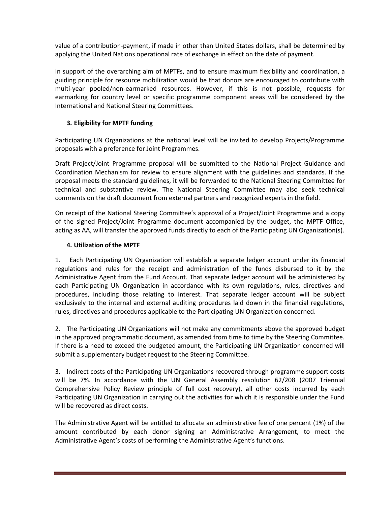value of a contribution-payment, if made in other than United States dollars, shall be determined by applying the United Nations operational rate of exchange in effect on the date of payment.

In support of the overarching aim of MPTFs, and to ensure maximum flexibility and coordination, a guiding principle for resource mobilization would be that donors are encouraged to contribute with multi-year pooled/non-earmarked resources. However, if this is not possible, requests for earmarking for country level or specific programme component areas will be considered by the International and National Steering Committees.

## **3. Eligibility for MPTF funding**

Participating UN Organizations at the national level will be invited to develop Projects/Programme proposals with a preference for Joint Programmes.

Draft Project/Joint Programme proposal will be submitted to the National Project Guidance and Coordination Mechanism for review to ensure alignment with the guidelines and standards. If the proposal meets the standard guidelines, it will be forwarded to the National Steering Committee for technical and substantive review. The National Steering Committee may also seek technical comments on the draft document from external partners and recognized experts in the field.

On receipt of the National Steering Committee's approval of a Project/Joint Programme and a copy of the signed Project/Joint Programme document accompanied by the budget, the MPTF Office, acting as AA, will transfer the approved funds directly to each of the Participating UN Organization(s).

### **4. Utilization of the MPTF**

1. Each Participating UN Organization will establish a separate ledger account under its financial regulations and rules for the receipt and administration of the funds disbursed to it by the Administrative Agent from the Fund Account. That separate ledger account will be administered by each Participating UN Organization in accordance with its own regulations, rules, directives and procedures, including those relating to interest. That separate ledger account will be subject exclusively to the internal and external auditing procedures laid down in the financial regulations, rules, directives and procedures applicable to the Participating UN Organization concerned.

2. The Participating UN Organizations will not make any commitments above the approved budget in the approved programmatic document, as amended from time to time by the Steering Committee. If there is a need to exceed the budgeted amount, the Participating UN Organization concerned will submit a supplementary budget request to the Steering Committee.

3. Indirect costs of the Participating UN Organizations recovered through programme support costs will be 7%. In accordance with the UN General Assembly resolution 62/208 (2007 Triennial Comprehensive Policy Review principle of full cost recovery), all other costs incurred by each Participating UN Organization in carrying out the activities for which it is responsible under the Fund will be recovered as direct costs.

The Administrative Agent will be entitled to allocate an administrative fee of one percent (1%) of the amount contributed by each donor signing an Administrative Arrangement, to meet the Administrative Agent's costs of performing the Administrative Agent's functions.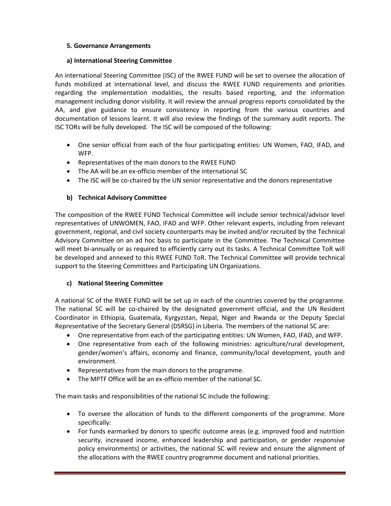## **5. Governance Arrangements**

#### **a) International Steering Committee**

An international Steering Committee (ISC) of the RWEE FUND will be set to oversee the allocation of funds mobilized at international level, and discuss the RWEE FUND requirements and priorities regarding the implementation modalities, the results based reporting, and the information management including donor visibility. It will review the annual progress reports consolidated by the AA, and give guidance to ensure consistency in reporting from the various countries and documentation of lessons learnt. It will also review the findings of the summary audit reports. The ISC TORs will be fully developed. The ISC will be composed of the following:

- One senior official from each of the four participating entities: UN Women, FAO, IFAD, and WFP.
- Representatives of the main donors to the RWEE FUND
- The AA will be an ex-officio member of the international SC
- The ISC will be co-chaired by the UN senior representative and the donors representative

## **b) Technical Advisory Committee**

The composition of the RWEE FUND Technical Committee will include senior technical/advisor level representatives of UNWOMEN, FAO, IFAD and WFP. Other relevant experts, including from relevant government, regional, and civil society counterparts may be invited and/or recruited by the Technical Advisory Committee on an ad hoc basis to participate in the Committee. The Technical Committee will meet bi-annually or as required to efficiently carry out its tasks. A Technical Committee ToR will be developed and annexed to this RWEE FUND ToR. The Technical Committee will provide technical support to the Steering Committees and Participating UN Organizations.

## **c) National Steering Committee**

A national SC of the RWEE FUND will be set up in each of the countries covered by the programme. The national SC will be co-chaired by the designated government official, and the UN Resident Coordinator in Ethiopia, Guatemala, Kyrgyzstan, Nepal, Niger and Rwanda or the Deputy Special Representative of the Secretary General (DSRSG) in Liberia. The members of the national SC are:

- One representative from each of the participating entities: UN Women, FAO, IFAD, and WFP.
- One representative from each of the following ministries: agriculture/rural development, gender/women's affairs, economy and finance, community/local development, youth and environment.
- Representatives from the main donors to the programme.
- The MPTF Office will be an ex-officio member of the national SC.

The main tasks and responsibilities of the national SC include the following:

- To oversee the allocation of funds to the different components of the programme. More specifically:
- For funds earmarked by donors to specific outcome areas (e.g. improved food and nutrition security, increased income, enhanced leadership and participation, or gender responsive policy environments) or activities, the national SC will review and ensure the alignment of the allocations with the RWEE country programme document and national priorities.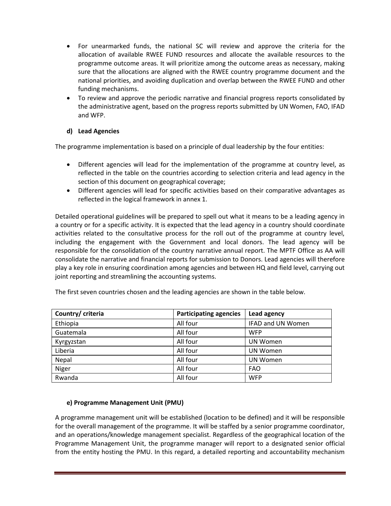- For unearmarked funds, the national SC will review and approve the criteria for the allocation of available RWEE FUND resources and allocate the available resources to the programme outcome areas. It will prioritize among the outcome areas as necessary, making sure that the allocations are aligned with the RWEE country programme document and the national priorities, and avoiding duplication and overlap between the RWEE FUND and other funding mechanisms.
- To review and approve the periodic narrative and financial progress reports consolidated by the administrative agent, based on the progress reports submitted by UN Women, FAO, IFAD and WFP.

## **d) Lead Agencies**

The programme implementation is based on a principle of dual leadership by the four entities:

- Different agencies will lead for the implementation of the programme at country level, as reflected in the table on the countries according to selection criteria and lead agency in the section of this document on geographical coverage;
- Different agencies will lead for specific activities based on their comparative advantages as reflected in the logical framework in annex 1.

Detailed operational guidelines will be prepared to spell out what it means to be a leading agency in a country or for a specific activity. It is expected that the lead agency in a country should coordinate activities related to the consultative process for the roll out of the programme at country level, including the engagement with the Government and local donors. The lead agency will be responsible for the consolidation of the country narrative annual report. The MPTF Office as AA will consolidate the narrative and financial reports for submission to Donors. Lead agencies will therefore play a key role in ensuring coordination among agencies and between HQ and field level, carrying out joint reporting and streamlining the accounting systems.

| Country/ criteria | <b>Participating agencies</b> | Lead agency              |
|-------------------|-------------------------------|--------------------------|
| Ethiopia          | All four                      | <b>IFAD and UN Women</b> |
| Guatemala         | All four                      | <b>WFP</b>               |
| Kyrgyzstan        | All four                      | <b>UN Women</b>          |
| Liberia           | All four                      | <b>UN Women</b>          |
| Nepal             | All four                      | <b>UN Women</b>          |
| Niger             | All four                      | <b>FAO</b>               |
| Rwanda            | All four                      | <b>WFP</b>               |

The first seven countries chosen and the leading agencies are shown in the table below.

#### **e) Programme Management Unit (PMU)**

A programme management unit will be established (location to be defined) and it will be responsible for the overall management of the programme. It will be staffed by a senior programme coordinator, and an operations/knowledge management specialist. Regardless of the geographical location of the Programme Management Unit, the programme manager will report to a designated senior official from the entity hosting the PMU. In this regard, a detailed reporting and accountability mechanism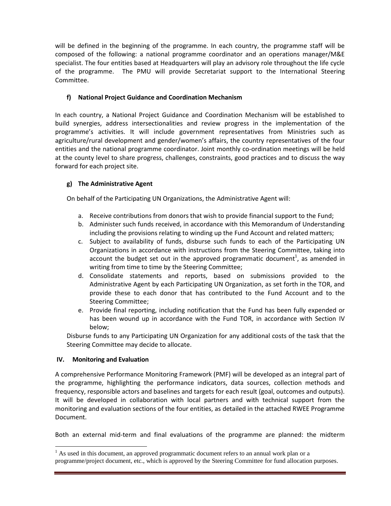will be defined in the beginning of the programme. In each country, the programme staff will be composed of the following: a national programme coordinator and an operations manager/M&E specialist. The four entities based at Headquarters will play an advisory role throughout the life cycle of the programme. The PMU will provide Secretariat support to the International Steering Committee.

## **f) National Project Guidance and Coordination Mechanism**

In each country, a National Project Guidance and Coordination Mechanism will be established to build synergies, address intersectionalities and review progress in the implementation of the programme's activities. It will include government representatives from Ministries such as agriculture/rural development and gender/women's affairs, the country representatives of the four entities and the national programme coordinator. Joint monthly co-ordination meetings will be held at the county level to share progress, challenges, constraints, good practices and to discuss the way forward for each project site.

## **g) The Administrative Agent**

On behalf of the Participating UN Organizations, the Administrative Agent will:

- a. Receive contributions from donors that wish to provide financial support to the Fund;
- b. Administer such funds received, in accordance with this Memorandum of Understanding including the provisions relating to winding up the Fund Account and related matters;
- c. Subject to availability of funds, disburse such funds to each of the Participating UN Organizations in accordance with instructions from the Steering Committee, taking into account the budget set out in the approved programmatic document<sup>1</sup>, as amended in writing from time to time by the Steering Committee;
- d. Consolidate statements and reports, based on submissions provided to the Administrative Agent by each Participating UN Organization, as set forth in the TOR, and provide these to each donor that has contributed to the Fund Account and to the Steering Committee;
- e. Provide final reporting, including notification that the Fund has been fully expended or has been wound up in accordance with the Fund TOR, in accordance with Section IV below;

Disburse funds to any Participating UN Organization for any additional costs of the task that the Steering Committee may decide to allocate.

## **IV. Monitoring and Evaluation**

 $\ddot{\phantom{a}}$ 

A comprehensive Performance Monitoring Framework (PMF) will be developed as an integral part of the programme, highlighting the performance indicators, data sources, collection methods and frequency, responsible actors and baselines and targets for each result (goal, outcomes and outputs). It will be developed in collaboration with local partners and with technical support from the monitoring and evaluation sections of the four entities, as detailed in the attached RWEE Programme Document.

Both an external mid-term and final evaluations of the programme are planned: the midterm

 $<sup>1</sup>$  As used in this document, an approved programmatic document refers to an annual work plan or a</sup> programme/project document, etc., which is approved by the Steering Committee for fund allocation purposes.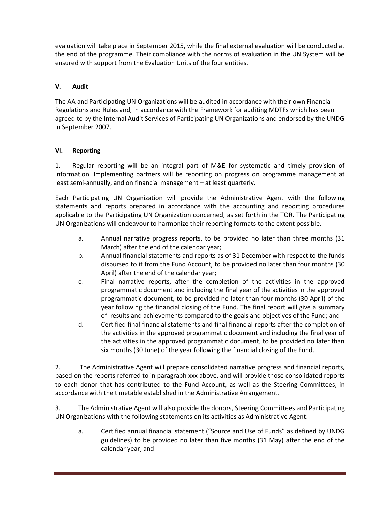evaluation will take place in September 2015, while the final external evaluation will be conducted at the end of the programme. Their compliance with the norms of evaluation in the UN System will be ensured with support from the Evaluation Units of the four entities.

## **V. Audit**

The AA and Participating UN Organizations will be audited in accordance with their own Financial Regulations and Rules and, in accordance with the Framework for auditing MDTFs which has been agreed to by the Internal Audit Services of Participating UN Organizations and endorsed by the UNDG in September 2007.

### **VI. Reporting**

1. Regular reporting will be an integral part of M&E for systematic and timely provision of information. Implementing partners will be reporting on progress on programme management at least semi-annually, and on financial management – at least quarterly.

Each Participating UN Organization will provide the Administrative Agent with the following statements and reports prepared in accordance with the accounting and reporting procedures applicable to the Participating UN Organization concerned, as set forth in the TOR. The Participating UN Organizations will endeavour to harmonize their reporting formats to the extent possible.

- a. Annual narrative progress reports, to be provided no later than three months (31 March) after the end of the calendar year;
- b. Annual financial statements and reports as of 31 December with respect to the funds disbursed to it from the Fund Account, to be provided no later than four months (30 April) after the end of the calendar year;
- c. Final narrative reports, after the completion of the activities in the approved programmatic document and including the final year of the activities in the approved programmatic document, to be provided no later than four months (30 April) of the year following the financial closing of the Fund. The final report will give a summary of results and achievements compared to the goals and objectives of the Fund; and
- d. Certified final financial statements and final financial reports after the completion of the activities in the approved programmatic document and including the final year of the activities in the approved programmatic document, to be provided no later than six months (30 June) of the year following the financial closing of the Fund.

2. The Administrative Agent will prepare consolidated narrative progress and financial reports, based on the reports referred to in paragraph xxx above, and will provide those consolidated reports to each donor that has contributed to the Fund Account, as well as the Steering Committees, in accordance with the timetable established in the Administrative Arrangement.

3. The Administrative Agent will also provide the donors, Steering Committees and Participating UN Organizations with the following statements on its activities as Administrative Agent:

a. Certified annual financial statement ("Source and Use of Funds" as defined by UNDG guidelines) to be provided no later than five months (31 May) after the end of the calendar year; and